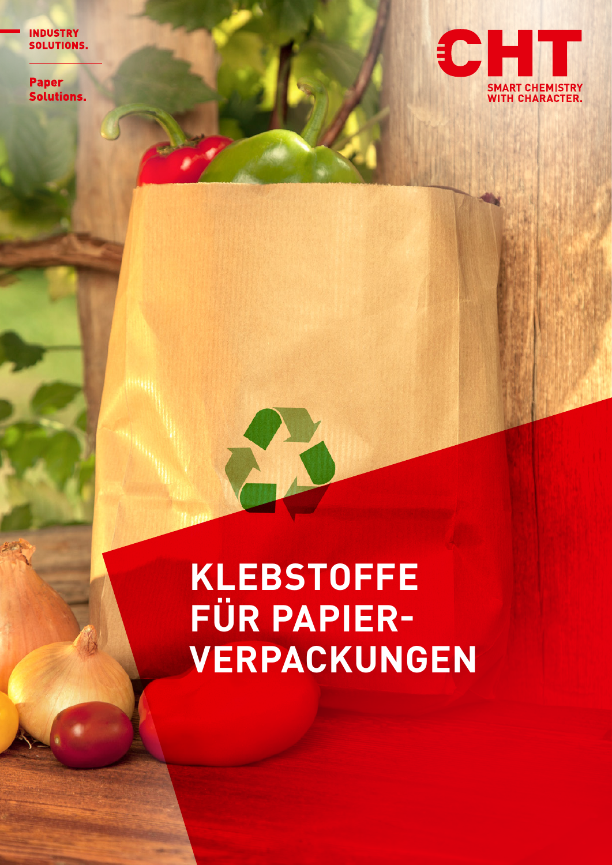**INDUSTRY** SOLUTIONS.

**Paper Solutions.** 



## **KLEBSTOFFE FÜR PAPIER-VERPACKUNGEN**